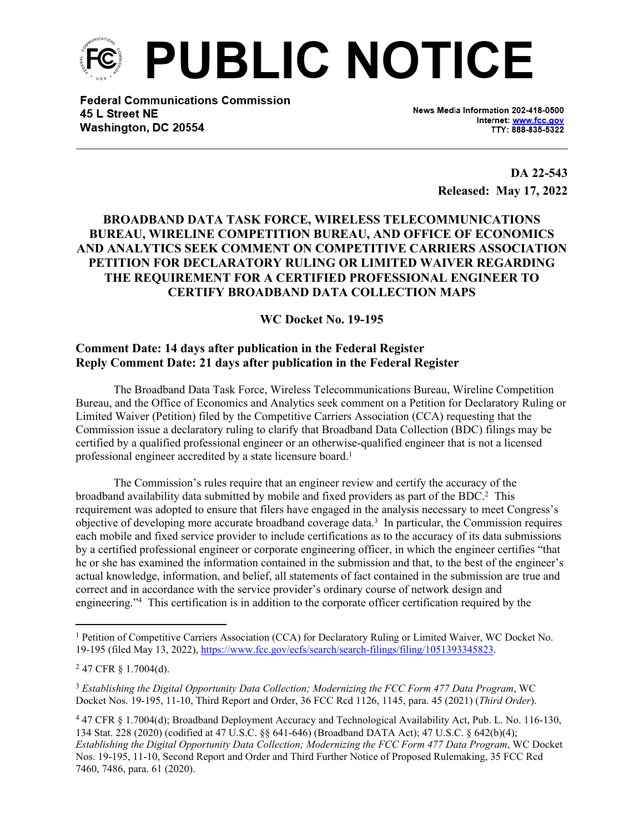

**Federal Communications Commission** 45 L Street NE Washington, DC 20554

News Media Information 202-418-0500 Internet: www.fcc.gov TTY: 888-835-5322

> **DA 22-543 Released: May 17, 2022**

## **BROADBAND DATA TASK FORCE, WIRELESS TELECOMMUNICATIONS BUREAU, WIRELINE COMPETITION BUREAU, AND OFFICE OF ECONOMICS AND ANALYTICS SEEK COMMENT ON COMPETITIVE CARRIERS ASSOCIATION PETITION FOR DECLARATORY RULING OR LIMITED WAIVER REGARDING THE REQUIREMENT FOR A CERTIFIED PROFESSIONAL ENGINEER TO CERTIFY BROADBAND DATA COLLECTION MAPS**

**WC Docket No. 19-195**

## **Comment Date: 14 days after publication in the Federal Register Reply Comment Date: 21 days after publication in the Federal Register**

The Broadband Data Task Force, Wireless Telecommunications Bureau, Wireline Competition Bureau, and the Office of Economics and Analytics seek comment on a Petition for Declaratory Ruling or Limited Waiver (Petition) filed by the Competitive Carriers Association (CCA) requesting that the Commission issue a declaratory ruling to clarify that Broadband Data Collection (BDC) filings may be certified by a qualified professional engineer or an otherwise-qualified engineer that is not a licensed professional engineer accredited by a state licensure board.<sup>1</sup>

The Commission's rules require that an engineer review and certify the accuracy of the broadband availability data submitted by mobile and fixed providers as part of the BDC.<sup>2</sup> This requirement was adopted to ensure that filers have engaged in the analysis necessary to meet Congress's objective of developing more accurate broadband coverage data.<sup>3</sup> In particular, the Commission requires each mobile and fixed service provider to include certifications as to the accuracy of its data submissions by a certified professional engineer or corporate engineering officer, in which the engineer certifies "that he or she has examined the information contained in the submission and that, to the best of the engineer's actual knowledge, information, and belief, all statements of fact contained in the submission are true and correct and in accordance with the service provider's ordinary course of network design and engineering."<sup>4</sup> This certification is in addition to the corporate officer certification required by the

<sup>&</sup>lt;sup>1</sup> Petition of Competitive Carriers Association (CCA) for Declaratory Ruling or Limited Waiver, WC Docket No. 19-195 (filed May 13, 2022),<https://www.fcc.gov/ecfs/search/search-filings/filing/1051393345823>.

<sup>2</sup> 47 CFR § 1.7004(d).

<sup>3</sup> *Establishing the Digital Opportunity Data Collection; Modernizing the FCC Form 477 Data Program*, WC Docket Nos. 19-195, 11-10, Third Report and Order, 36 FCC Rcd 1126, 1145, para. 45 (2021) (*Third Order*).

<sup>&</sup>lt;sup>4</sup> 47 CFR § 1.7004(d); Broadband Deployment Accuracy and Technological Availability Act, Pub. L. No. 116-130, 134 Stat. 228 (2020) (codified at 47 U.S.C. §§ 641-646) (Broadband DATA Act); 47 U.S.C. § 642(b)(4); *Establishing the Digital Opportunity Data Collection; Modernizing the FCC Form 477 Data Program*, WC Docket Nos. 19-195, 11-10, Second Report and Order and Third Further Notice of Proposed Rulemaking, 35 FCC Rcd 7460, 7486, para. 61 (2020).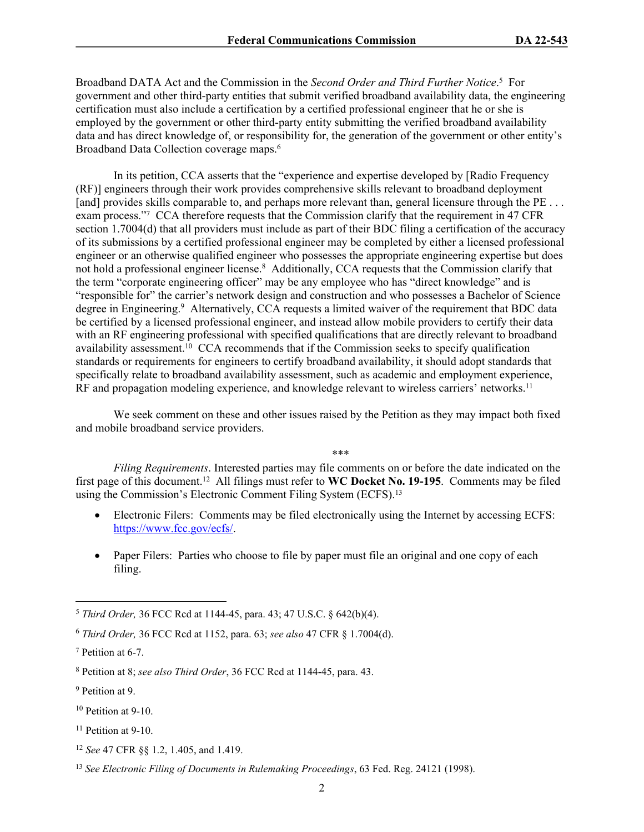Broadband DATA Act and the Commission in the *Second Order and Third Further Notice*. 5 For government and other third-party entities that submit verified broadband availability data, the engineering certification must also include a certification by a certified professional engineer that he or she is employed by the government or other third-party entity submitting the verified broadband availability data and has direct knowledge of, or responsibility for, the generation of the government or other entity's Broadband Data Collection coverage maps.<sup>6</sup>

In its petition, CCA asserts that the "experience and expertise developed by [Radio Frequency (RF)] engineers through their work provides comprehensive skills relevant to broadband deployment [and] provides skills comparable to, and perhaps more relevant than, general licensure through the PE ... exam process."<sup>7</sup> CCA therefore requests that the Commission clarify that the requirement in 47 CFR section 1.7004(d) that all providers must include as part of their BDC filing a certification of the accuracy of its submissions by a certified professional engineer may be completed by either a licensed professional engineer or an otherwise qualified engineer who possesses the appropriate engineering expertise but does not hold a professional engineer license.<sup>8</sup> Additionally, CCA requests that the Commission clarify that the term "corporate engineering officer" may be any employee who has "direct knowledge" and is "responsible for" the carrier's network design and construction and who possesses a Bachelor of Science degree in Engineering.<sup>9</sup> Alternatively, CCA requests a limited waiver of the requirement that BDC data be certified by a licensed professional engineer, and instead allow mobile providers to certify their data with an RF engineering professional with specified qualifications that are directly relevant to broadband availability assessment.<sup>10</sup> CCA recommends that if the Commission seeks to specify qualification standards or requirements for engineers to certify broadband availability, it should adopt standards that specifically relate to broadband availability assessment, such as academic and employment experience, RF and propagation modeling experience, and knowledge relevant to wireless carriers' networks.<sup>11</sup>

We seek comment on these and other issues raised by the Petition as they may impact both fixed and mobile broadband service providers.

\*\*\*

*Filing Requirements*. Interested parties may file comments on or before the date indicated on the first page of this document.<sup>12</sup> All filings must refer to **WC Docket No. 19-195**. Comments may be filed using the Commission's Electronic Comment Filing System (ECFS).<sup>13</sup>

- Electronic Filers: Comments may be filed electronically using the Internet by accessing ECFS: [https://www.fcc.gov/ecfs/.](https://www.fcc.gov/ecfs/)
- Paper Filers: Parties who choose to file by paper must file an original and one copy of each filing.

<sup>5</sup> *Third Order,* 36 FCC Rcd at 1144-45, para. 43; 47 U.S.C. § 642(b)(4).

<sup>6</sup> *Third Order,* 36 FCC Rcd at 1152, para. 63; *see also* 47 CFR § 1.7004(d).

<sup>7</sup> Petition at 6-7.

<sup>8</sup> Petition at 8; *see also Third Order*, 36 FCC Rcd at 1144-45, para. 43.

<sup>&</sup>lt;sup>9</sup> Petition at 9.

<sup>&</sup>lt;sup>10</sup> Petition at 9-10.

<sup>11</sup> Petition at 9-10.

<sup>12</sup> *See* 47 CFR §§ 1.2, 1.405, and 1.419.

<sup>13</sup> *See Electronic Filing of Documents in Rulemaking Proceedings*, 63 Fed. Reg. 24121 (1998).